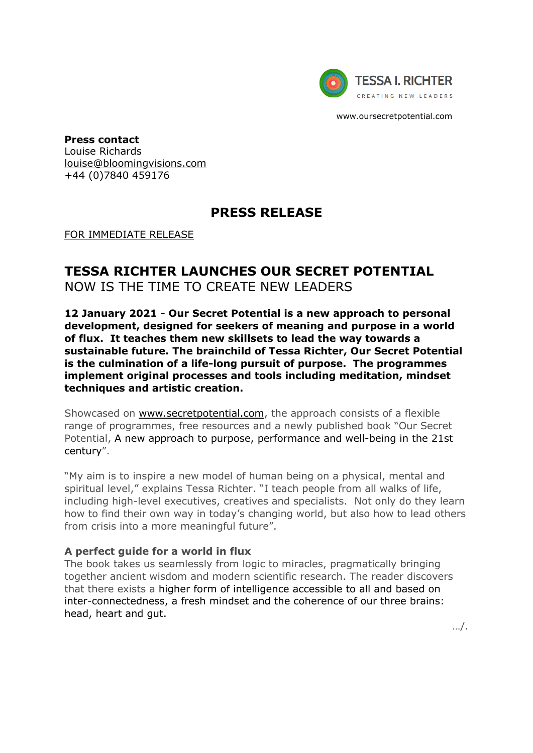

www.oursecretpotential.com

**Press contact** Louise Richards [louise@bloomingvisions.com](mailto:louise@bloomingvisions.com) +44 (0)7840 459176

## **PRESS RELEASE**

FOR IMMEDIATE RELEASE

# **TESSA RICHTER LAUNCHES OUR SECRET POTENTIAL**

NOW IS THE TIME TO CREATE NEW LEADERS

**12 January 2021 - Our Secret Potential is a new approach to personal development, designed for seekers of meaning and purpose in a world of flux. It teaches them new skillsets to lead the way towards a sustainable future. The brainchild of Tessa Richter, Our Secret Potential is the culmination of a life-long pursuit of purpose. The programmes implement original processes and tools including meditation, mindset techniques and artistic creation.** 

Showcased on [www.secretpotential.com,](http://www.secretpotential.com/) the approach consists of a flexible range of programmes, free resources and a newly published book "Our Secret Potential, A new approach to purpose, performance and well-being in the 21st century".

"My aim is to inspire a new model of human being on a physical, mental and spiritual level," explains Tessa Richter. "I teach people from all walks of life, including high-level executives, creatives and specialists. Not only do they learn how to find their own way in today's changing world, but also how to lead others from crisis into a more meaningful future".

### **A perfect guide for a world in flux**

The book takes us seamlessly from logic to miracles, pragmatically bringing together ancient wisdom and modern scientific research. The reader discovers that there exists a higher form of intelligence accessible to all and based on inter-connectedness, a fresh mindset and the coherence of our three brains: head, heart and gut.